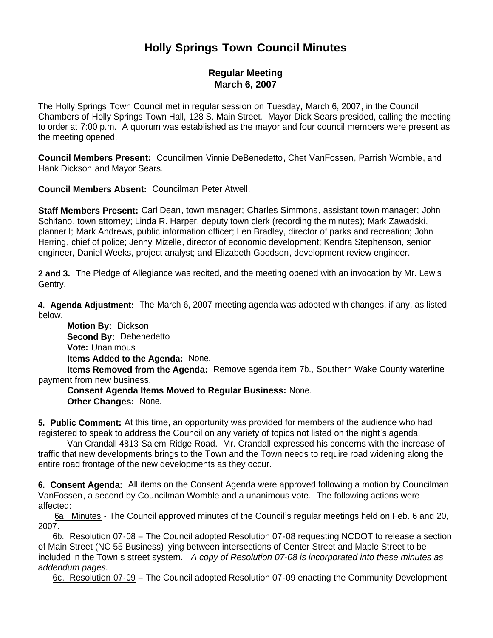# **Holly Springs Town Council Minutes**

# **Regular Meeting March 6, 2007**

The Holly Springs Town Council met in regular session on Tuesday, March 6, 2007, in the Council Chambers of Holly Springs Town Hall, 128 S. Main Street. Mayor Dick Sears presided, calling the meeting to order at 7:00 p.m. A quorum was established as the mayor and four council members were present as the meeting opened.

**Council Members Present:** Councilmen Vinnie DeBenedetto, Chet VanFossen, Parrish Womble, and Hank Dickson and Mayor Sears.

**Council Members Absent:** Councilman Peter Atwell.

**Staff Members Present:** Carl Dean, town manager; Charles Simmons, assistant town manager; John Schifano, town attorney; Linda R. Harper, deputy town clerk (recording the minutes); Mark Zawadski, planner I; Mark Andrews, public information officer; Len Bradley, director of parks and recreation; John Herring, chief of police; Jenny Mizelle, director of economic development; Kendra Stephenson, senior engineer, Daniel Weeks, project analyst; and Elizabeth Goodson, development review engineer.

**2 and 3.** The Pledge of Allegiance was recited, and the meeting opened with an invocation by Mr. Lewis Gentry.

**4. Agenda Adjustment:** The March 6, 2007 meeting agenda was adopted with changes, if any, as listed below.

 **Motion By:** Dickson **Second By:** Debenedetto **Vote:** Unanimous **Items Added to the Agenda:** None.

 **Items Removed from the Agenda:** Remove agenda item 7b., Southern Wake County waterline payment from new business.

 **Consent Agenda Items Moved to Regular Business:** None. **Other Changes:** None.

**5. Public Comment:** At this time, an opportunity was provided for members of the audience who had registered to speak to address the Council on any variety of topics not listed on the night's agenda.

Van Crandall 4813 Salem Ridge Road. Mr. Crandall expressed his concerns with the increase of traffic that new developments brings to the Town and the Town needs to require road widening along the entire road frontage of the new developments as they occur.

**6. Consent Agenda:** All items on the Consent Agenda were approved following a motion by Councilman VanFossen, a second by Councilman Womble and a unanimous vote. The following actions were affected:

6a. Minutes - The Council approved minutes of the Council's regular meetings held on Feb. 6 and 20, 2007.

 6b. Resolution 07-08 – The Council adopted Resolution 07-08 requesting NCDOT to release a section of Main Street (NC 55 Business) lying between intersections of Center Street and Maple Street to be included in the Town's street system. *A copy of Resolution 07-08 is incorporated into these minutes as addendum pages.*

6c. Resolution 07-09 – The Council adopted Resolution 07-09 enacting the Community Development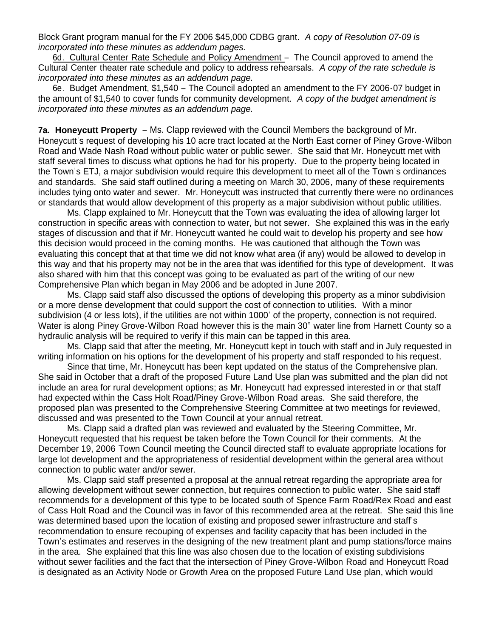Block Grant program manual for the FY 2006 \$45,000 CDBG grant. *A copy of Resolution 07-09 is incorporated into these minutes as addendum pages.*

6d. Cultural Center Rate Schedule and Policy Amendment – The Council approved to amend the Cultural Center theater rate schedule and policy to address rehearsals. *A copy of the rate schedule is incorporated into these minutes as an addendum page.*

 6e. Budget Amendment, \$1,540 – The Council adopted an amendment to the FY 2006-07 budget in the amount of \$1,540 to cover funds for community development. *A copy of the budget amendment is incorporated into these minutes as an addendum page.*

**7a. Honeycutt Property** – Ms. Clapp reviewed with the Council Members the background of Mr. Honeycutt's request of developing his 10 acre tract located at the North East corner of Piney Grove-Wilbon Road and Wade Nash Road without public water or public sewer. She said that Mr. Honeycutt met with staff several times to discuss what options he had for his property. Due to the property being located in the Town's ETJ, a major subdivision would require this development to meet all of the Town's ordinances and standards. She said staff outlined during a meeting on March 30, 2006, many of these requirements includes tying onto water and sewer. Mr. Honeycutt was instructed that currently there were no ordinances or standards that would allow development of this property as a major subdivision without public utilities.

 Ms. Clapp explained to Mr. Honeycutt that the Town was evaluating the idea of allowing larger lot construction in specific areas with connection to water, but not sewer. She explained this was in the early stages of discussion and that if Mr. Honeycutt wanted he could wait to develop his property and see how this decision would proceed in the coming months. He was cautioned that although the Town was evaluating this concept that at that time we did not know what area (if any) would be allowed to develop in this way and that his property may not be in the area that was identified for this type of development. It was also shared with him that this concept was going to be evaluated as part of the writing of our new Comprehensive Plan which began in May 2006 and be adopted in June 2007.

 Ms. Clapp said staff also discussed the options of developing this property as a minor subdivision or a more dense development that could support the cost of connection to utilities. With a minor subdivision (4 or less lots), if the utilities are not within 1000' of the property, connection is not required. Water is along Piney Grove-Wilbon Road however this is the main 30" water line from Harnett County so a hydraulic analysis will be required to verify if this main can be tapped in this area.

 Ms. Clapp said that after the meeting, Mr. Honeycutt kept in touch with staff and in July requested in writing information on his options for the development of his property and staff responded to his request.

 Since that time, Mr. Honeycutt has been kept updated on the status of the Comprehensive plan. She said in October that a draft of the proposed Future Land Use plan was submitted and the plan did not include an area for rural development options; as Mr. Honeycutt had expressed interested in or that staff had expected within the Cass Holt Road/Piney Grove-Wilbon Road areas. She said therefore, the proposed plan was presented to the Comprehensive Steering Committee at two meetings for reviewed, discussed and was presented to the Town Council at your annual retreat.

 Ms. Clapp said a drafted plan was reviewed and evaluated by the Steering Committee, Mr. Honeycutt requested that his request be taken before the Town Council for their comments. At the December 19, 2006 Town Council meeting the Council directed staff to evaluate appropriate locations for large lot development and the appropriateness of residential development within the general area without connection to public water and/or sewer.

 Ms. Clapp said staff presented a proposal at the annual retreat regarding the appropriate area for allowing development without sewer connection, but requires connection to public water. She said staff recommends for a development of this type to be located south of Spence Farm Road/Rex Road and east of Cass Holt Road and the Council was in favor of this recommended area at the retreat. She said this line was determined based upon the location of existing and proposed sewer infrastructure and staff's recommendation to ensure recouping of expenses and facility capacity that has been included in the Town's estimates and reserves in the designing of the new treatment plant and pump stations/force mains in the area. She explained that this line was also chosen due to the location of existing subdivisions without sewer facilities and the fact that the intersection of Piney Grove-Wilbon Road and Honeycutt Road is designated as an Activity Node or Growth Area on the proposed Future Land Use plan, which would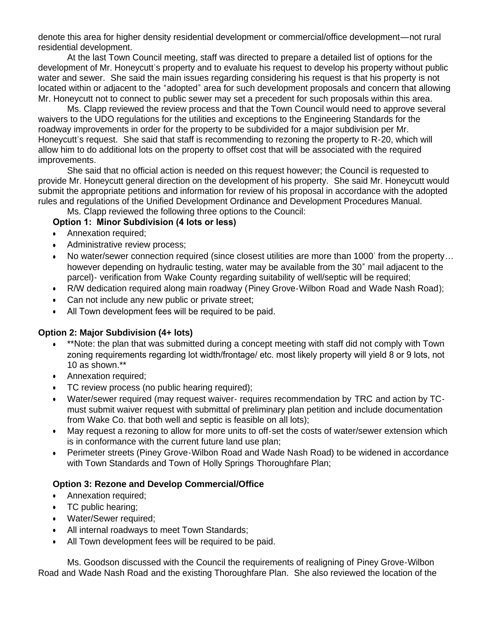denote this area for higher density residential development or commercial/office development—not rural residential development.

 At the last Town Council meeting, staff was directed to prepare a detailed list of options for the development of Mr. Honeycutt's property and to evaluate his request to develop his property without public water and sewer. She said the main issues regarding considering his request is that his property is not located within or adjacent to the "adopted" area for such development proposals and concern that allowing Mr. Honeycutt not to connect to public sewer may set a precedent for such proposals within this area.

Ms. Clapp reviewed the review process and that the Town Council would need to approve several waivers to the UDO regulations for the utilities and exceptions to the Engineering Standards for the roadway improvements in order for the property to be subdivided for a major subdivision per Mr. Honeycutt's request. She said that staff is recommending to rezoning the property to R-20, which will allow him to do additional lots on the property to offset cost that will be associated with the required improvements.

She said that no official action is needed on this request however; the Council is requested to provide Mr. Honeycutt general direction on the development of his property. She said Mr. Honeycutt would submit the appropriate petitions and information for review of his proposal in accordance with the adopted rules and regulations of the Unified Development Ordinance and Development Procedures Manual.

Ms. Clapp reviewed the following three options to the Council:

### **Option 1: Minor Subdivision (4 lots or less)**

- Annexation required;
- Administrative review process;
- No water/sewer connection required (since closest utilities are more than 1000' from the property… however depending on hydraulic testing, water may be available from the 30" mail adjacent to the parcel)- verification from Wake County regarding suitability of well/septic will be required;
- R/W dedication required along main roadway (Piney Grove-Wilbon Road and Wade Nash Road);
- Can not include any new public or private street;
- All Town development fees will be required to be paid.

#### **Option 2: Major Subdivision (4+ lots)**

- \*\*Note: the plan that was submitted during a concept meeting with staff did not comply with Town zoning requirements regarding lot width/frontage/ etc. most likely property will yield 8 or 9 lots, not 10 as shown.\*\*
- Annexation required;
- TC review process (no public hearing required);
- Water/sewer required (may request waiver- requires recommendation by TRC and action by TCmust submit waiver request with submittal of preliminary plan petition and include documentation from Wake Co. that both well and septic is feasible on all lots);
- May request a rezoning to allow for more units to off-set the costs of water/sewer extension which is in conformance with the current future land use plan;
- Perimeter streets (Piney Grove-Wilbon Road and Wade Nash Road) to be widened in accordance with Town Standards and Town of Holly Springs Thoroughfare Plan;

# **Option 3: Rezone and Develop Commercial/Office**

- Annexation required;
- TC public hearing;
- Water/Sewer required;
- All internal roadways to meet Town Standards;
- All Town development fees will be required to be paid.

Ms. Goodson discussed with the Council the requirements of realigning of Piney Grove-Wilbon Road and Wade Nash Road and the existing Thoroughfare Plan. She also reviewed the location of the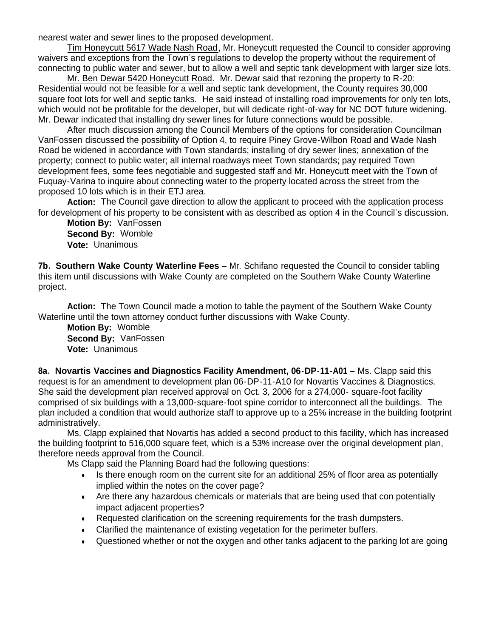nearest water and sewer lines to the proposed development.

Tim Honeycutt 5617 Wade Nash Road, Mr. Honeycutt requested the Council to consider approving waivers and exceptions from the Town's regulations to develop the property without the requirement of connecting to public water and sewer, but to allow a well and septic tank development with larger size lots.

Mr. Ben Dewar 5420 Honeycutt Road. Mr. Dewar said that rezoning the property to R-20: Residential would not be feasible for a well and septic tank development, the County requires 30,000 square foot lots for well and septic tanks. He said instead of installing road improvements for only ten lots, which would not be profitable for the developer, but will dedicate right-of-way for NC DOT future widening. Mr. Dewar indicated that installing dry sewer lines for future connections would be possible.

After much discussion among the Council Members of the options for consideration Councilman VanFossen discussed the possibility of Option 4, to require Piney Grove-Wilbon Road and Wade Nash Road be widened in accordance with Town standards; installing of dry sewer lines; annexation of the property; connect to public water; all internal roadways meet Town standards; pay required Town development fees, some fees negotiable and suggested staff and Mr. Honeycutt meet with the Town of Fuquay-Varina to inquire about connecting water to the property located across the street from the proposed 10 lots which is in their ETJ area.

**Action:** The Council gave direction to allow the applicant to proceed with the application process for development of his property to be consistent with as described as option 4 in the Council's discussion.

 **Motion By:** VanFossen **Second By:** Womble **Vote:** Unanimous

**7b. Southern Wake County Waterline Fees** – Mr. Schifano requested the Council to consider tabling this item until discussions with Wake County are completed on the Southern Wake County Waterline project.

**Action:** The Town Council made a motion to table the payment of the Southern Wake County Waterline until the town attorney conduct further discussions with Wake County.

 **Motion By:** Womble **Second By:** VanFossen **Vote:** Unanimous

**8a. Novartis Vaccines and Diagnostics Facility Amendment, 06-DP-11-A01 –** Ms. Clapp said this request is for an amendment to development plan 06-DP-11-A10 for Novartis Vaccines & Diagnostics. She said the development plan received approval on Oct. 3, 2006 for a 274,000- square-foot facility comprised of six buildings with a 13,000-square-foot spine corridor to interconnect all the buildings. The plan included a condition that would authorize staff to approve up to a 25% increase in the building footprint administratively.

 Ms. Clapp explained that Novartis has added a second product to this facility, which has increased the building footprint to 516,000 square feet, which is a 53% increase over the original development plan, therefore needs approval from the Council.

Ms Clapp said the Planning Board had the following questions:

- Is there enough room on the current site for an additional 25% of floor area as potentially implied within the notes on the cover page?
- Are there any hazardous chemicals or materials that are being used that con potentially impact adjacent properties?
- Requested clarification on the screening requirements for the trash dumpsters.
- Clarified the maintenance of existing vegetation for the perimeter buffers.
- Questioned whether or not the oxygen and other tanks adjacent to the parking lot are going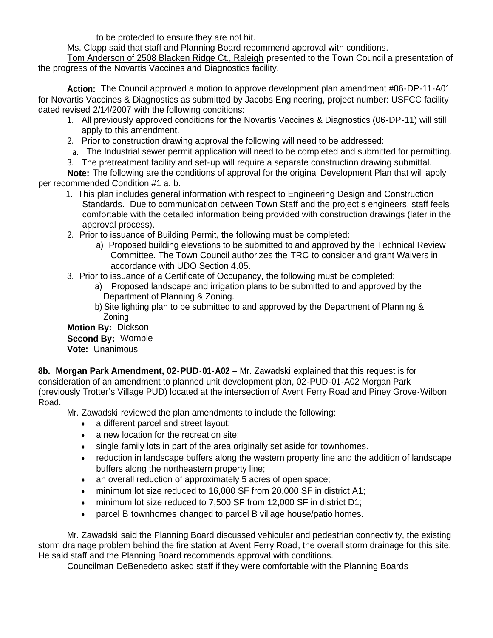to be protected to ensure they are not hit.

Ms. Clapp said that staff and Planning Board recommend approval with conditions.

Tom Anderson of 2508 Blacken Ridge Ct., Raleigh presented to the Town Council a presentation of the progress of the Novartis Vaccines and Diagnostics facility.

 **Action:** The Council approved a motion to approve development plan amendment #06-DP-11-A01 for Novartis Vaccines & Diagnostics as submitted by Jacobs Engineering, project number: USFCC facility dated revised 2/14/2007 with the following conditions:

- 1. All previously approved conditions for the Novartis Vaccines & Diagnostics (06-DP-11) will still apply to this amendment.
- 2. Prior to construction drawing approval the following will need to be addressed:
- a. The Industrial sewer permit application will need to be completed and submitted for permitting.
- 3. The pretreatment facility and set-up will require a separate construction drawing submittal.

**Note:** The following are the conditions of approval for the original Development Plan that will apply per recommended Condition #1 a. b.

- 1. This plan includes general information with respect to Engineering Design and Construction Standards. Due to communication between Town Staff and the project's engineers, staff feels comfortable with the detailed information being provided with construction drawings (later in the approval process).
- 2. Prior to issuance of Building Permit, the following must be completed:
	- a) Proposed building elevations to be submitted to and approved by the Technical Review Committee. The Town Council authorizes the TRC to consider and grant Waivers in accordance with UDO Section 4.05.
- 3. Prior to issuance of a Certificate of Occupancy, the following must be completed:
	- a) Proposed landscape and irrigation plans to be submitted to and approved by the Department of Planning & Zoning.
	- b) Site lighting plan to be submitted to and approved by the Department of Planning & Zoning.

 **Motion By:** Dickson **Second By:** Womble

**Vote:** Unanimous

**8b. Morgan Park Amendment, 02-PUD-01-A02** – Mr. Zawadski explained that this request is for consideration of an amendment to planned unit development plan, 02-PUD-01-A02 Morgan Park (previously Trotter's Village PUD) located at the intersection of Avent Ferry Road and Piney Grove-Wilbon Road.

Mr. Zawadski reviewed the plan amendments to include the following:

- a different parcel and street layout;
- a new location for the recreation site;
- single family lots in part of the area originally set aside for townhomes.
- reduction in landscape buffers along the western property line and the addition of landscape buffers along the northeastern property line;
- an overall reduction of approximately 5 acres of open space;
- minimum lot size reduced to 16,000 SF from 20,000 SF in district A1;
- minimum lot size reduced to 7,500 SF from 12,000 SF in district D1;
- parcel B townhomes changed to parcel B village house/patio homes.

 Mr. Zawadski said the Planning Board discussed vehicular and pedestrian connectivity, the existing storm drainage problem behind the fire station at Avent Ferry Road, the overall storm drainage for this site. He said staff and the Planning Board recommends approval with conditions.

Councilman DeBenedetto asked staff if they were comfortable with the Planning Boards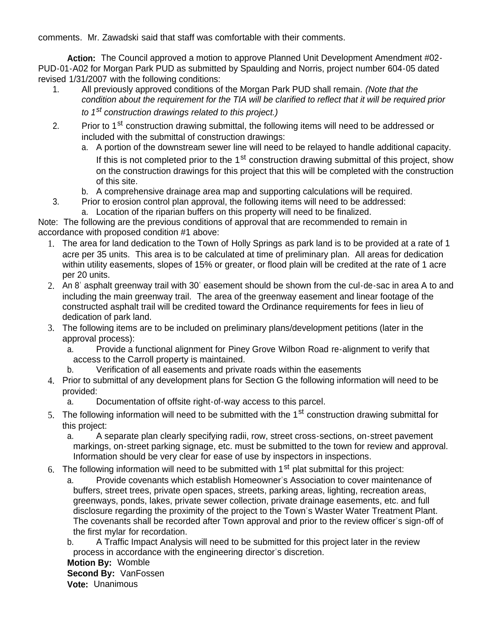comments. Mr. Zawadski said that staff was comfortable with their comments.

**Action:** The Council approved a motion to approve Planned Unit Development Amendment #02- PUD-01-A02 for Morgan Park PUD as submitted by Spaulding and Norris, project number 604-05 dated revised 1/31/2007 with the following conditions:

- 1. All previously approved conditions of the Morgan Park PUD shall remain. *(Note that the condition about the requirement for the TIA will be clarified to reflect that it will be required prior to 1st construction drawings related to this project.)*
- 2. Prior to 1<sup>st</sup> construction drawing submittal, the following items will need to be addressed or included with the submittal of construction drawings:
	- a. A portion of the downstream sewer line will need to be relayed to handle additional capacity. If this is not completed prior to the  $1<sup>st</sup>$  construction drawing submittal of this project, show on the construction drawings for this project that this will be completed with the construction of this site.
	- b. A comprehensive drainage area map and supporting calculations will be required.
- 3. Prior to erosion control plan approval, the following items will need to be addressed: a. Location of the riparian buffers on this property will need to be finalized.

Note: The following are the previous conditions of approval that are recommended to remain in accordance with proposed condition #1 above:

- 1. The area for land dedication to the Town of Holly Springs as park land is to be provided at a rate of 1 acre per 35 units. This area is to be calculated at time of preliminary plan. All areas for dedication within utility easements, slopes of 15% or greater, or flood plain will be credited at the rate of 1 acre per 20 units.
- 2. An 8' asphalt greenway trail with 30' easement should be shown from the cul-de-sac in area A to and including the main greenway trail. The area of the greenway easement and linear footage of the constructed asphalt trail will be credited toward the Ordinance requirements for fees in lieu of dedication of park land.
- 3. The following items are to be included on preliminary plans/development petitions (later in the approval process):
	- a. Provide a functional alignment for Piney Grove Wilbon Road re-alignment to verify that access to the Carroll property is maintained.
	- b. Verification of all easements and private roads within the easements
- 4. Prior to submittal of any development plans for Section G the following information will need to be provided:
	- a. Documentation of offsite right-of-way access to this parcel.
- 5. The following information will need to be submitted with the  $1<sup>st</sup>$  construction drawing submittal for this project:
	- a. A separate plan clearly specifying radii, row, street cross-sections, on-street pavement markings, on-street parking signage, etc. must be submitted to the town for review and approval. Information should be very clear for ease of use by inspectors in inspections.
- 6. The following information will need to be submitted with  $1<sup>st</sup>$  plat submittal for this project:
	- a. Provide covenants which establish Homeowner's Association to cover maintenance of buffers, street trees, private open spaces, streets, parking areas, lighting, recreation areas, greenways, ponds, lakes, private sewer collection, private drainage easements, etc. and full disclosure regarding the proximity of the project to the Town's Waster Water Treatment Plant. The covenants shall be recorded after Town approval and prior to the review officer's sign-off of the first mylar for recordation.

b. A Traffic Impact Analysis will need to be submitted for this project later in the review process in accordance with the engineering director's discretion.

**Motion By:** Womble **Second By:** VanFossen **Vote:** Unanimous